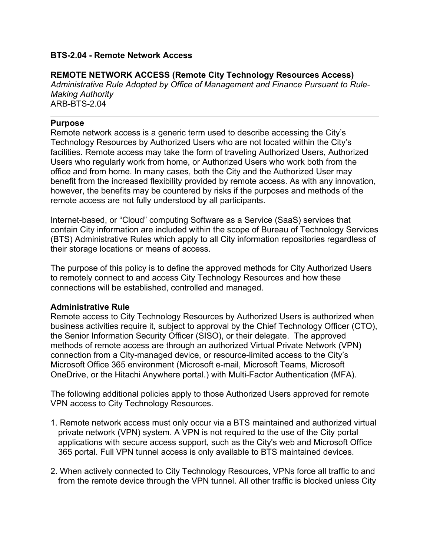### **BTS-2.04 - Remote Network Access**

### **REMOTE NETWORK ACCESS (Remote City Technology Resources Access)**

*Administrative Rule Adopted by Office of Management and Finance Pursuant to Rule-Making Authority* ARB-BTS-2.04

#### **Purpose**

Remote network access is a generic term used to describe accessing the City's Technology Resources by Authorized Users who are not located within the City's facilities. Remote access may take the form of traveling Authorized Users, Authorized Users who regularly work from home, or Authorized Users who work both from the office and from home. In many cases, both the City and the Authorized User may benefit from the increased flexibility provided by remote access. As with any innovation, however, the benefits may be countered by risks if the purposes and methods of the remote access are not fully understood by all participants.

Internet-based, or "Cloud" computing Software as a Service (SaaS) services that contain City information are included within the scope of Bureau of Technology Services (BTS) Administrative Rules which apply to all City information repositories regardless of their storage locations or means of access.

The purpose of this policy is to define the approved methods for City Authorized Users to remotely connect to and access City Technology Resources and how these connections will be established, controlled and managed.

### **Administrative Rule**

Remote access to City Technology Resources by Authorized Users is authorized when business activities require it, subject to approval by the Chief Technology Officer (CTO), the Senior Information Security Officer (SISO), or their delegate. The approved methods of remote access are through an authorized Virtual Private Network (VPN) connection from a City-managed device, or resource-limited access to the City's Microsoft Office 365 environment (Microsoft e-mail, Microsoft Teams, Microsoft OneDrive, or the Hitachi Anywhere portal.) with Multi-Factor Authentication (MFA).

The following additional policies apply to those Authorized Users approved for remote VPN access to City Technology Resources.

- 1. Remote network access must only occur via a BTS maintained and authorized virtual private network (VPN) system. A VPN is not required to the use of the City portal applications with secure access support, such as the City's web and Microsoft Office 365 portal. Full VPN tunnel access is only available to BTS maintained devices.
- 2. When actively connected to City Technology Resources, VPNs force all traffic to and from the remote device through the VPN tunnel. All other traffic is blocked unless City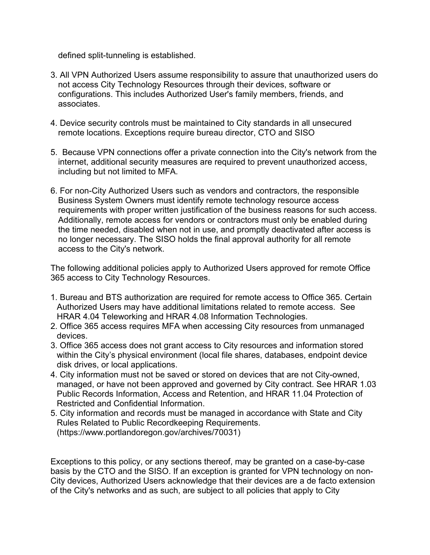defined split-tunneling is established.

- 3. All VPN Authorized Users assume responsibility to assure that unauthorized users do not access City Technology Resources through their devices, software or configurations. This includes Authorized User's family members, friends, and associates.
- 4. Device security controls must be maintained to City standards in all unsecured remote locations. Exceptions require bureau director, CTO and SISO
- 5. Because VPN connections offer a private connection into the City's network from the internet, additional security measures are required to prevent unauthorized access, including but not limited to MFA.
- 6. For non-City Authorized Users such as vendors and contractors, the responsible Business System Owners must identify remote technology resource access requirements with proper written justification of the business reasons for such access. Additionally, remote access for vendors or contractors must only be enabled during the time needed, disabled when not in use, and promptly deactivated after access is no longer necessary. The SISO holds the final approval authority for all remote access to the City's network.

The following additional policies apply to Authorized Users approved for remote Office 365 access to City Technology Resources.

- 1. Bureau and BTS authorization are required for remote access to Office 365. Certain Authorized Users may have additional limitations related to remote access. See HRAR 4.04 Teleworking and HRAR 4.08 Information Technologies.
- 2. Office 365 access requires MFA when accessing City resources from unmanaged devices.
- 3. Office 365 access does not grant access to City resources and information stored within the City's physical environment (local file shares, databases, endpoint device disk drives, or local applications.
- 4. City information must not be saved or stored on devices that are not City-owned, managed, or have not been approved and governed by City contract. See HRAR 1.03 Public Records Information, Access and Retention, and HRAR 11.04 Protection of Restricted and Confidential Information.
- 5. City information and records must be managed in accordance with State and City Rules Related to Public Recordkeeping Requirements. (https://www.portlandoregon.gov/archives/70031)

Exceptions to this policy, or any sections thereof, may be granted on a case-by-case basis by the CTO and the SISO. If an exception is granted for VPN technology on non-City devices, Authorized Users acknowledge that their devices are a de facto extension of the City's networks and as such, are subject to all policies that apply to City